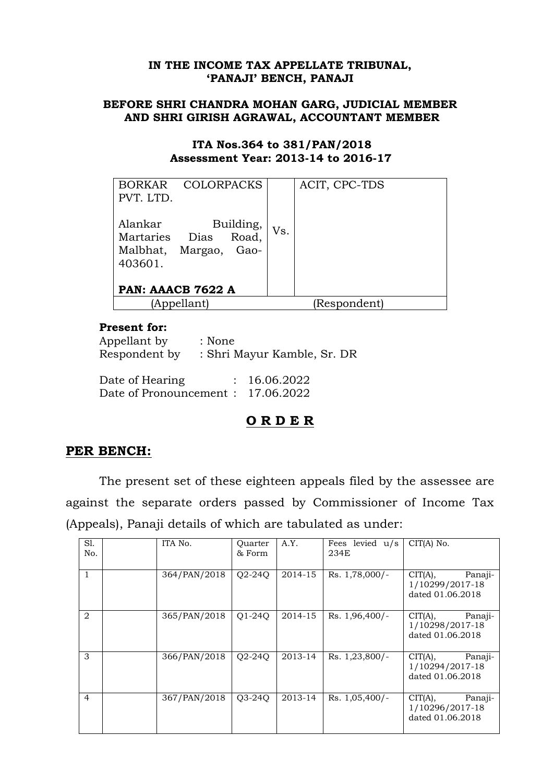### **IN THE INCOME TAX APPELLATE TRIBUNAL, 'PANAJI' BENCH, PANAJI**

### **BEFORE SHRI CHANDRA MOHAN GARG, JUDICIAL MEMBER AND SHRI GIRISH AGRAWAL, ACCOUNTANT MEMBER**

#### **ITA Nos.364 to 381/PAN/2018 Assessment Year: 2013-14 to 2016-17**

| BORKAR COLORPACKS<br>PVT. LTD.                                      |  |           |     | ACIT, CPC-TDS |
|---------------------------------------------------------------------|--|-----------|-----|---------------|
| Alankar<br>Martaries Dias Road,<br>Malbhat, Margao, Gao-<br>403601. |  | Building, | Vs. |               |
| PAN: AAACB 7622 A                                                   |  |           |     |               |
| (Appellant)                                                         |  |           |     | (Respondent)  |

### **Present for:**

| Appellant by<br>Respondent by     | : None | : Shri Mayur Kamble, Sr. DR |
|-----------------------------------|--------|-----------------------------|
| Date of Hearing                   |        | : 16.06.2022                |
| Date of Pronouncement: 17.06.2022 |        |                             |

# **O R D E R**

## **PER BENCH:**

The present set of these eighteen appeals filed by the assessee are against the separate orders passed by Commissioner of Income Tax (Appeals), Panaji details of which are tabulated as under:

| S1.<br>No.     | ITA No.      | Quarter<br>& Form               | A.Y.    | Fees levied $u/s$<br>234E | $CIT(A)$ No.                                              |
|----------------|--------------|---------------------------------|---------|---------------------------|-----------------------------------------------------------|
| 1              | 364/PAN/2018 | $Q2-24Q$                        | 2014-15 | Rs. 1,78,000/-            | CIT(A),<br>Panaji-<br>1/10299/2017-18<br>dated 01.06.2018 |
| $\overline{2}$ | 365/PAN/2018 | O <sub>1</sub> -24 <sub>O</sub> | 2014-15 | Rs. 1,96,400/-            | CIT(A),<br>Panaji-<br>1/10298/2017-18<br>dated 01.06.2018 |
| 3              | 366/PAN/2018 | O <sub>2</sub> -24 <sub>O</sub> | 2013-14 | Rs. 1,23,800/-            | CIT(A),<br>Panaji-<br>1/10294/2017-18<br>dated 01.06.2018 |
| $\overline{4}$ | 367/PAN/2018 | 03-240                          | 2013-14 | $Rs. 1,05,400/-$          | CIT(A),<br>Panaji-<br>1/10296/2017-18<br>dated 01.06.2018 |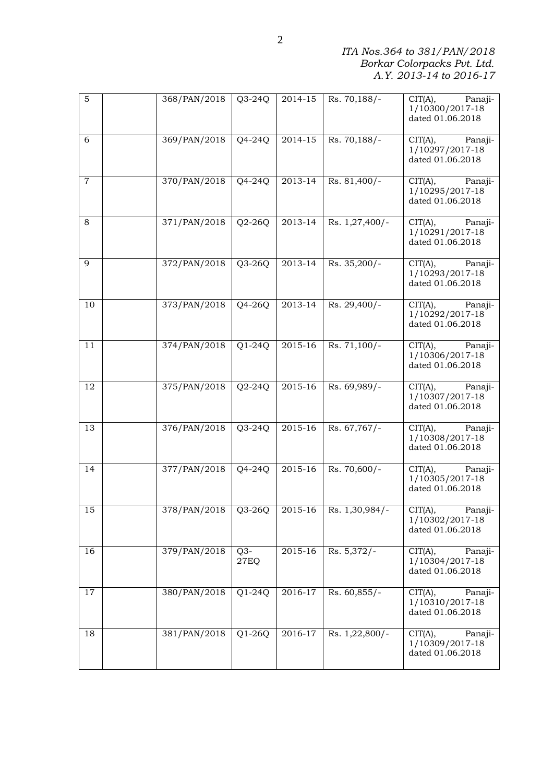*ITA Nos.364 to 381/PAN/2018 Borkar Colorpacks Pvt. Ltd. A.Y. 2013-14 to 2016-17*

| $\mathbf 5$    | 368/PAN/2018    | $Q3-24Q$      | 2014-15     | Rs. 70,188/    | CIT(A),<br>Panaji-<br>1/10300/2017-18<br>dated 01.06.2018                     |
|----------------|-----------------|---------------|-------------|----------------|-------------------------------------------------------------------------------|
| 6              | 369/PAN/2018    | $Q4-24Q$      | $2014 - 15$ | Rs. 70,188/-   | CIT(A),<br>Panaji-<br>1/10297/2017-18<br>dated 01.06.2018                     |
| $\overline{7}$ | 370/PAN/2018    | $Q4-24Q$      | 2013-14     | $Rs. 81,400/-$ | $\overline{\text{CIT}}(A),$<br>Panaji-<br>1/10295/2017-18<br>dated 01.06.2018 |
| 8              | 371/PAN/2018    | $Q2-26Q$      | 2013-14     | Rs. 1,27,400/- | CIT(A),<br>Panaji-<br>1/10291/2017-18<br>dated 01.06.2018                     |
| 9              | 372/PAN/2018    | $Q3-26Q$      | 2013-14     | Rs. 35,200/-   | CIT(A),<br>Panaji-<br>1/10293/2017-18<br>dated 01.06.2018                     |
| 10             | 373/PAN/2018    | $Q4-26Q$      | 2013-14     | $Rs. 29,400/-$ | CIT(A),<br>Panaji-<br>1/10292/2017-18<br>dated 01.06.2018                     |
| 11             | $374$ /PAN/2018 | $Q1-24Q$      | 2015-16     | $Rs. 71,100/-$ | $\overline{\text{CIT}}(A),$<br>Panaji-<br>1/10306/2017-18<br>dated 01.06.2018 |
| 12             | 375/PAN/2018    | $Q2-24Q$      | 2015-16     | Rs. 69,989/-   | $\overline{C}IT(A),$<br>Panaji-<br>1/10307/2017-18<br>dated 01.06.2018        |
| 13             | 376/PAN/2018    | $Q3-24Q$      | 2015-16     | Rs. 67,767/-   | $\overline{C}IT(A),$<br>Panaji-<br>1/10308/2017-18<br>dated 01.06.2018        |
| 14             | 377/PAN/2018    | $Q4-24Q$      | 2015-16     | $Rs. 70,600/-$ | CIT(A),<br>Panaji-<br>1/10305/2017-18<br>dated 01.06.2018                     |
| 15             | 378/PAN/2018    | $Q3-26Q$      | 2015-16     | Rs. 1,30,984/- | CIT(A),<br>Panaji-<br>1/10302/2017-18<br>dated 01.06.2018                     |
| 16             | 379/PAN/2018    | $Q3-$<br>27EQ | 2015-16     | Rs. 5,372/-    | CIT(A),<br>Panaji-<br>1/10304/2017-18<br>dated 01.06.2018                     |
| 17             | 380/PAN/2018    | $Q1-24Q$      | 2016-17     | Rs. 60,855/-   | CIT(A),<br>Panaji-<br>1/10310/2017-18<br>dated 01.06.2018                     |
| 18             | 381/PAN/2018    | $Q1-26Q$      | 2016-17     | Rs. 1,22,800/- | CIT(A),<br>Panaji-<br>1/10309/2017-18<br>dated 01.06.2018                     |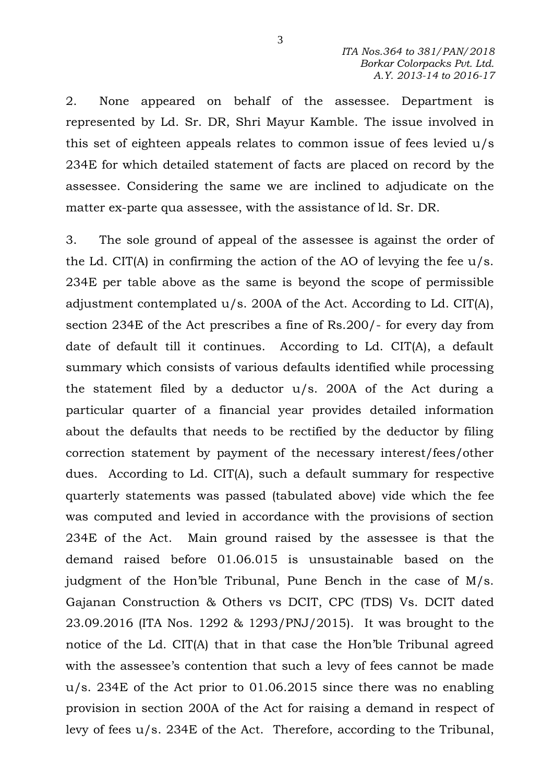2. None appeared on behalf of the assessee. Department is represented by Ld. Sr. DR, Shri Mayur Kamble. The issue involved in this set of eighteen appeals relates to common issue of fees levied u/s 234E for which detailed statement of facts are placed on record by the assessee. Considering the same we are inclined to adjudicate on the matter ex-parte qua assessee, with the assistance of ld. Sr. DR.

3. The sole ground of appeal of the assessee is against the order of the Ld. CIT(A) in confirming the action of the AO of levying the fee u/s. 234E per table above as the same is beyond the scope of permissible adjustment contemplated u/s. 200A of the Act. According to Ld. CIT(A), section 234E of the Act prescribes a fine of Rs.200/- for every day from date of default till it continues. According to Ld. CIT(A), a default summary which consists of various defaults identified while processing the statement filed by a deductor u/s. 200A of the Act during a particular quarter of a financial year provides detailed information about the defaults that needs to be rectified by the deductor by filing correction statement by payment of the necessary interest/fees/other dues. According to Ld. CIT(A), such a default summary for respective quarterly statements was passed (tabulated above) vide which the fee was computed and levied in accordance with the provisions of section 234E of the Act. Main ground raised by the assessee is that the demand raised before 01.06.015 is unsustainable based on the judgment of the Hon'ble Tribunal, Pune Bench in the case of M/s. Gajanan Construction & Others vs DCIT, CPC (TDS) Vs. DCIT dated 23.09.2016 (ITA Nos. 1292 & 1293/PNJ/2015). It was brought to the notice of the Ld. CIT(A) that in that case the Hon'ble Tribunal agreed with the assessee's contention that such a levy of fees cannot be made u/s. 234E of the Act prior to 01.06.2015 since there was no enabling provision in section 200A of the Act for raising a demand in respect of levy of fees u/s. 234E of the Act. Therefore, according to the Tribunal,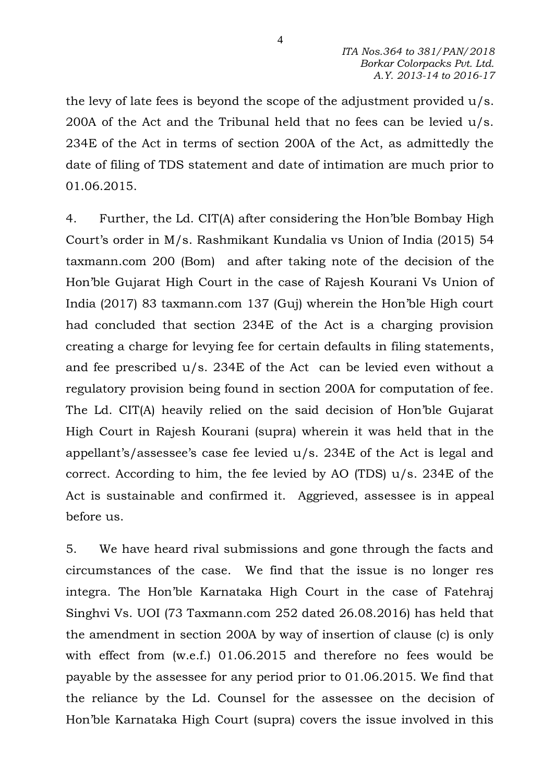the levy of late fees is beyond the scope of the adjustment provided u/s. 200A of the Act and the Tribunal held that no fees can be levied u/s. 234E of the Act in terms of section 200A of the Act, as admittedly the date of filing of TDS statement and date of intimation are much prior to 01.06.2015.

4. Further, the Ld. CIT(A) after considering the Hon'ble Bombay High Court's order in M/s. Rashmikant Kundalia vs Union of India (2015) 54 taxmann.com 200 (Bom) and after taking note of the decision of the Hon'ble Gujarat High Court in the case of Rajesh Kourani Vs Union of India (2017) 83 taxmann.com 137 (Guj) wherein the Hon'ble High court had concluded that section 234E of the Act is a charging provision creating a charge for levying fee for certain defaults in filing statements, and fee prescribed u/s. 234E of the Act can be levied even without a regulatory provision being found in section 200A for computation of fee. The Ld. CIT(A) heavily relied on the said decision of Hon'ble Gujarat High Court in Rajesh Kourani (supra) wherein it was held that in the appellant's/assessee's case fee levied u/s. 234E of the Act is legal and correct. According to him, the fee levied by AO (TDS) u/s. 234E of the Act is sustainable and confirmed it. Aggrieved, assessee is in appeal before us.

5. We have heard rival submissions and gone through the facts and circumstances of the case. We find that the issue is no longer res integra. The Hon'ble Karnataka High Court in the case of Fatehraj Singhvi Vs. UOI (73 Taxmann.com 252 dated 26.08.2016) has held that the amendment in section 200A by way of insertion of clause (c) is only with effect from (w.e.f.) 01.06.2015 and therefore no fees would be payable by the assessee for any period prior to 01.06.2015. We find that the reliance by the Ld. Counsel for the assessee on the decision of Hon'ble Karnataka High Court (supra) covers the issue involved in this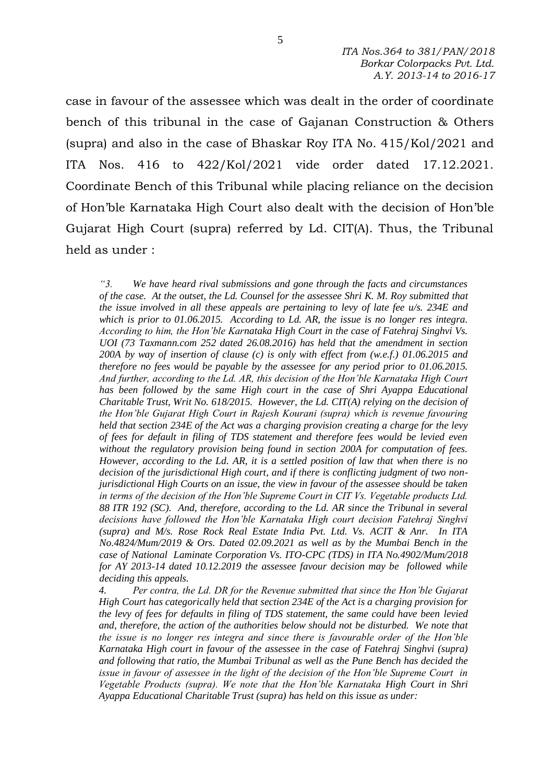case in favour of the assessee which was dealt in the order of coordinate bench of this tribunal in the case of Gajanan Construction & Others (supra) and also in the case of Bhaskar Roy ITA No. 415/Kol/2021 and ITA Nos. 416 to 422/Kol/2021 vide order dated 17.12.2021. Coordinate Bench of this Tribunal while placing reliance on the decision of Hon'ble Karnataka High Court also dealt with the decision of Hon'ble Gujarat High Court (supra) referred by Ld. CIT(A). Thus, the Tribunal held as under :

*"3. We have heard rival submissions and gone through the facts and circumstances of the case. At the outset, the Ld. Counsel for the assessee Shri K. M. Roy submitted that the issue involved in all these appeals are pertaining to levy of late fee u/s. 234E and which is prior to 01.06.2015. According to Ld. AR, the issue is no longer res integra. According to him, the Hon'ble Karnataka High Court in the case of Fatehraj Singhvi Vs. UOI (73 Taxmann.com 252 dated 26.08.2016) has held that the amendment in section 200A by way of insertion of clause (c) is only with effect from (w.e.f.) 01.06.2015 and therefore no fees would be payable by the assessee for any period prior to 01.06.2015. And further, according to the Ld. AR, this decision of the Hon'ble Karnataka High Court has been followed by the same High court in the case of Shri Ayappa Educational Charitable Trust, Writ No. 618/2015. However, the Ld. CIT(A) relying on the decision of the Hon'ble Gujarat High Court in Rajesh Kourani (supra) which is revenue favouring held that section 234E of the Act was a charging provision creating a charge for the levy of fees for default in filing of TDS statement and therefore fees would be levied even without the regulatory provision being found in section 200A for computation of fees. However, according to the Ld. AR, it is a settled position of law that when there is no decision of the jurisdictional High court, and if there is conflicting judgment of two nonjurisdictional High Courts on an issue, the view in favour of the assessee should be taken in terms of the decision of the Hon'ble Supreme Court in CIT Vs. Vegetable products Ltd. 88 ITR 192 (SC). And, therefore, according to the Ld. AR since the Tribunal in several decisions have followed the Hon'ble Karnataka High court decision Fatehraj Singhvi (supra) and M/s. Rose Rock Real Estate India Pvt. Ltd. Vs. ACIT & Anr. In ITA No.4824/Mum/2019 & Ors. Dated 02.09.2021 as well as by the Mumbai Bench in the case of National Laminate Corporation Vs. ITO-CPC (TDS) in ITA No.4902/Mum/2018 for AY 2013-14 dated 10.12.2019 the assessee favour decision may be followed while deciding this appeals.* 

*4. Per contra, the Ld. DR for the Revenue submitted that since the Hon'ble Gujarat High Court has categorically held that section 234E of the Act is a charging provision for the levy of fees for defaults in filing of TDS statement, the same could have been levied and, therefore, the action of the authorities below should not be disturbed. We note that the issue is no longer res integra and since there is favourable order of the Hon'ble Karnataka High court in favour of the assessee in the case of Fatehraj Singhvi (supra) and following that ratio, the Mumbai Tribunal as well as the Pune Bench has decided the issue in favour of assessee in the light of the decision of the Hon'ble Supreme Court in Vegetable Products (supra). We note that the Hon'ble Karnataka High Court in Shri Ayappa Educational Charitable Trust (supra) has held on this issue as under:*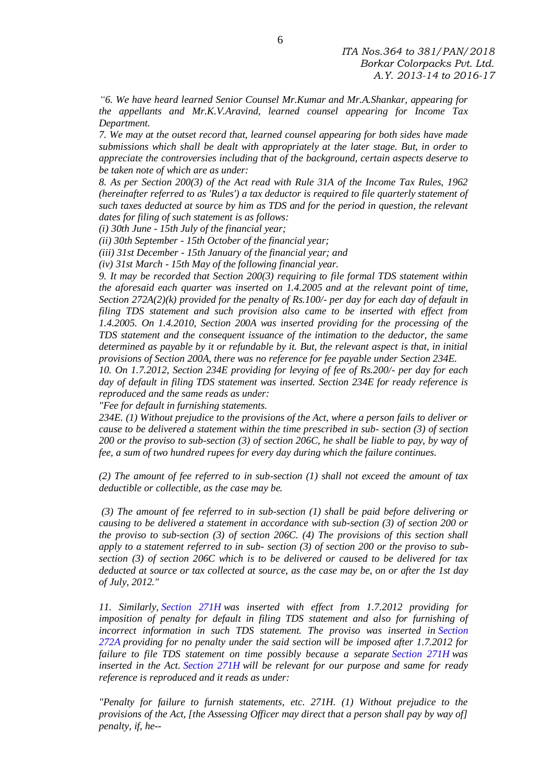*"6. We have heard learned Senior Counsel Mr.Kumar and Mr.A.Shankar, appearing for the appellants and Mr.K.V.Aravind, learned counsel appearing for Income Tax Department.*

*7. We may at the outset record that, learned counsel appearing for both sides have made submissions which shall be dealt with appropriately at the later stage. But, in order to appreciate the controversies including that of the background, certain aspects deserve to be taken note of which are as under:*

*8. As per Section 200(3) of the Act read with Rule 31A of the Income Tax Rules, 1962 (hereinafter referred to as 'Rules') a tax deductor is required to file quarterly statement of such taxes deducted at source by him as TDS and for the period in question, the relevant dates for filing of such statement is as follows:*

*(i) 30th June - 15th July of the financial year;*

*(ii) 30th September - 15th October of the financial year;*

*(iii) 31st December - 15th January of the financial year; and*

*(iv) 31st March - 15th May of the following financial year.*

*9. It may be recorded that Section 200(3) requiring to file formal TDS statement within the aforesaid each quarter was inserted on 1.4.2005 and at the relevant point of time, Section 272A(2)(k) provided for the penalty of Rs.100/- per day for each day of default in filing TDS statement and such provision also came to be inserted with effect from 1.4.2005. On 1.4.2010, Section 200A was inserted providing for the processing of the TDS statement and the consequent issuance of the intimation to the deductor, the same determined as payable by it or refundable by it. But, the relevant aspect is that, in initial provisions of Section 200A, there was no reference for fee payable under Section 234E.*

*10. On 1.7.2012, Section 234E providing for levying of fee of Rs.200/- per day for each day of default in filing TDS statement was inserted. Section 234E for ready reference is reproduced and the same reads as under:*

*"Fee for default in furnishing statements.*

*234E. (1) Without prejudice to the provisions of the Act, where a person fails to deliver or cause to be delivered a statement within the time prescribed in sub- section (3) of section 200 or the proviso to sub-section (3) of section 206C, he shall be liable to pay, by way of fee, a sum of two hundred rupees for every day during which the failure continues.*

*(2) The amount of fee referred to in sub-section (1) shall not exceed the amount of tax deductible or collectible, as the case may be.*

*(3) The amount of fee referred to in sub-section (1) shall be paid before delivering or causing to be delivered a statement in accordance with sub-section (3) of section 200 or the proviso to sub-section (3) of section 206C. (4) The provisions of this section shall apply to a statement referred to in sub- section (3) of section 200 or the proviso to subsection (3) of section 206C which is to be delivered or caused to be delivered for tax deducted at source or tax collected at source, as the case may be, on or after the 1st day of July, 2012."*

*11. Similarly, [Section 271H](https://indiankanoon.org/doc/104566/) was inserted with effect from 1.7.2012 providing for imposition of penalty for default in filing TDS statement and also for furnishing of incorrect information in such TDS statement. The proviso was inserted in [Section](https://indiankanoon.org/doc/104566/)  [272A](https://indiankanoon.org/doc/104566/) providing for no penalty under the said section will be imposed after 1.7.2012 for failure to file TDS statement on time possibly because a separate [Section 271H](https://indiankanoon.org/doc/104566/) was inserted in the Act. [Section 271H](https://indiankanoon.org/doc/104566/) will be relevant for our purpose and same for ready reference is reproduced and it reads as under:*

*"Penalty for failure to furnish statements, etc. 271H. (1) Without prejudice to the provisions of the Act, [the Assessing Officer may direct that a person shall pay by way of] penalty, if, he--*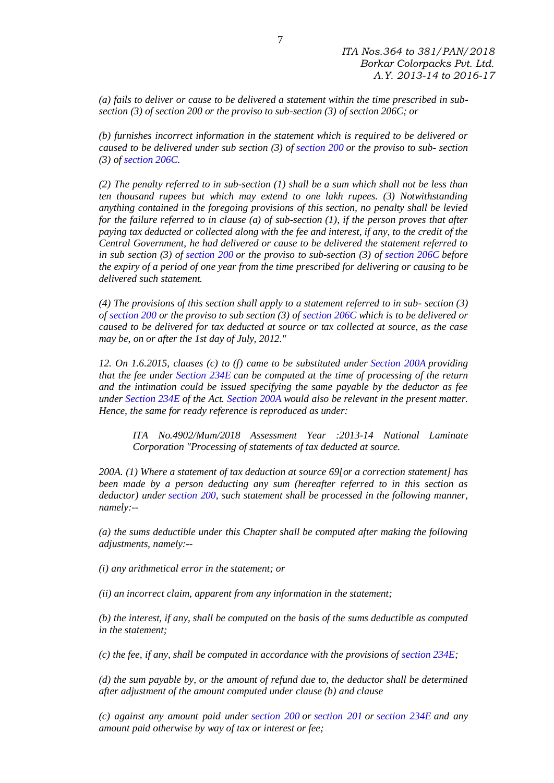*(a) fails to deliver or cause to be delivered a statement within the time prescribed in subsection (3) of section 200 or the proviso to sub-section (3) of section 206C; or*

*(b) furnishes incorrect information in the statement which is required to be delivered or caused to be delivered under sub section (3) of [section 200](https://indiankanoon.org/doc/104566/) or the proviso to sub- section (3) of [section 206C.](https://indiankanoon.org/doc/104566/)*

*(2) The penalty referred to in sub-section (1) shall be a sum which shall not be less than ten thousand rupees but which may extend to one lakh rupees. (3) Notwithstanding anything contained in the foregoing provisions of this section, no penalty shall be levied for the failure referred to in clause (a) of sub-section (1), if the person proves that after paying tax deducted or collected along with the fee and interest, if any, to the credit of the Central Government, he had delivered or cause to be delivered the statement referred to in sub section (3) of [section 200](https://indiankanoon.org/doc/104566/) or the proviso to sub-section (3) of [section 206C](https://indiankanoon.org/doc/104566/) before the expiry of a period of one year from the time prescribed for delivering or causing to be delivered such statement.*

*(4) The provisions of this section shall apply to a statement referred to in sub- section (3) of [section 200](https://indiankanoon.org/doc/104566/) or the proviso to sub section (3) of [section 206C](https://indiankanoon.org/doc/104566/) which is to be delivered or caused to be delivered for tax deducted at source or tax collected at source, as the case may be, on or after the 1st day of July, 2012."*

*12. On 1.6.2015, clauses (c) to (f) came to be substituted under [Section 200A](https://indiankanoon.org/doc/104566/) providing that the fee under [Section 234E](https://indiankanoon.org/doc/104566/) can be computed at the time of processing of the return and the intimation could be issued specifying the same payable by the deductor as fee under [Section 234E](https://indiankanoon.org/doc/104566/) of the Act. [Section 200A](https://indiankanoon.org/doc/104566/) would also be relevant in the present matter. Hence, the same for ready reference is reproduced as under:*

*ITA No.4902/Mum/2018 Assessment Year :2013-14 National Laminate Corporation "Processing of statements of tax deducted at source.*

*200A. (1) Where a statement of tax deduction at source 69[or a correction statement] has been made by a person deducting any sum (hereafter referred to in this section as deductor) under [section 200,](https://indiankanoon.org/doc/104566/) such statement shall be processed in the following manner, namely:--*

*(a) the sums deductible under this Chapter shall be computed after making the following adjustments, namely:--*

*(i) any arithmetical error in the statement; or*

*(ii) an incorrect claim, apparent from any information in the statement;*

*(b) the interest, if any, shall be computed on the basis of the sums deductible as computed in the statement;*

*(c) the fee, if any, shall be computed in accordance with the provisions of [section 234E;](https://indiankanoon.org/doc/104566/)*

*(d) the sum payable by, or the amount of refund due to, the deductor shall be determined after adjustment of the amount computed under clause (b) and clause*

*(c) against any amount paid under [section 200](https://indiankanoon.org/doc/104566/) or [section 201](https://indiankanoon.org/doc/104566/) or [section 234E](https://indiankanoon.org/doc/104566/) and any amount paid otherwise by way of tax or interest or fee;*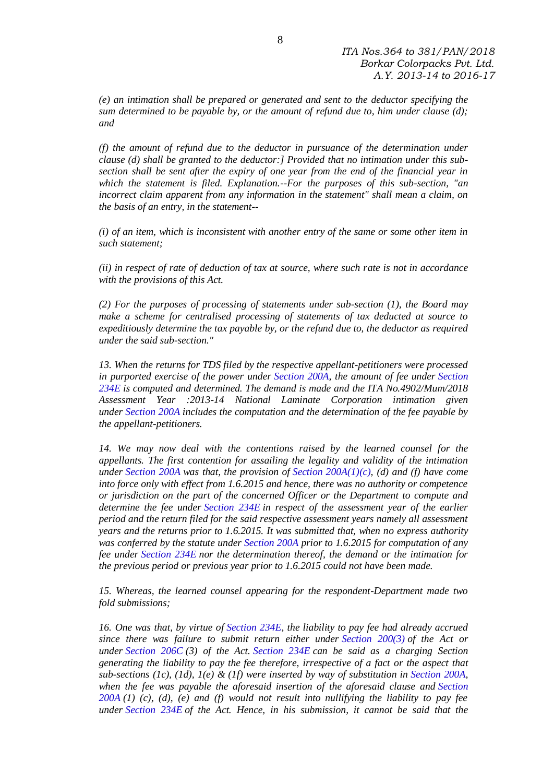*(e) an intimation shall be prepared or generated and sent to the deductor specifying the sum determined to be payable by, or the amount of refund due to, him under clause (d); and*

*(f) the amount of refund due to the deductor in pursuance of the determination under clause (d) shall be granted to the deductor:] Provided that no intimation under this subsection shall be sent after the expiry of one year from the end of the financial year in which the statement is filed. Explanation.--For the purposes of this sub-section, "an incorrect claim apparent from any information in the statement" shall mean a claim, on the basis of an entry, in the statement--*

*(i) of an item, which is inconsistent with another entry of the same or some other item in such statement;*

*(ii) in respect of rate of deduction of tax at source, where such rate is not in accordance with the provisions of this Act.*

*(2) For the purposes of processing of statements under sub-section (1), the Board may make a scheme for centralised processing of statements of tax deducted at source to expeditiously determine the tax payable by, or the refund due to, the deductor as required under the said sub-section."*

*13. When the returns for TDS filed by the respective appellant-petitioners were processed in purported exercise of the power under [Section 200A,](https://indiankanoon.org/doc/104566/) the amount of fee under [Section](https://indiankanoon.org/doc/104566/)  [234E](https://indiankanoon.org/doc/104566/) is computed and determined. The demand is made and the ITA No.4902/Mum/2018 Assessment Year :2013-14 National Laminate Corporation intimation given under [Section 200A](https://indiankanoon.org/doc/104566/) includes the computation and the determination of the fee payable by the appellant-petitioners.*

*14. We may now deal with the contentions raised by the learned counsel for the appellants. The first contention for assailing the legality and validity of the intimation under [Section 200A](https://indiankanoon.org/doc/104566/) was that, the provision of Section [200A\(1\)\(c\),](https://indiankanoon.org/doc/104566/) (d) and (f) have come into force only with effect from 1.6.2015 and hence, there was no authority or competence or jurisdiction on the part of the concerned Officer or the Department to compute and determine the fee under [Section 234E](https://indiankanoon.org/doc/104566/) in respect of the assessment year of the earlier period and the return filed for the said respective assessment years namely all assessment years and the returns prior to 1.6.2015. It was submitted that, when no express authority was conferred by the statute under [Section 200A](https://indiankanoon.org/doc/104566/) prior to 1.6.2015 for computation of any fee under [Section 234E](https://indiankanoon.org/doc/104566/) nor the determination thereof, the demand or the intimation for the previous period or previous year prior to 1.6.2015 could not have been made.*

*15. Whereas, the learned counsel appearing for the respondent-Department made two fold submissions;*

*16. One was that, by virtue of [Section 234E,](https://indiankanoon.org/doc/104566/) the liability to pay fee had already accrued since there was failure to submit return either under [Section 200\(3\)](https://indiankanoon.org/doc/104566/) of the Act or under [Section 206C](https://indiankanoon.org/doc/104566/) (3) of the Act. [Section 234E](https://indiankanoon.org/doc/104566/) can be said as a charging Section generating the liability to pay the fee therefore, irrespective of a fact or the aspect that sub-sections (1c), (1d), 1(e) & (1f) were inserted by way of substitution in [Section 200A,](https://indiankanoon.org/doc/104566/) when the fee was payable the aforesaid insertion of the aforesaid clause and [Section](https://indiankanoon.org/doc/104566/)  [200A](https://indiankanoon.org/doc/104566/) (1) (c), (d), (e) and (f) would not result into nullifying the liability to pay fee under [Section 234E](https://indiankanoon.org/doc/104566/) of the Act. Hence, in his submission, it cannot be said that the*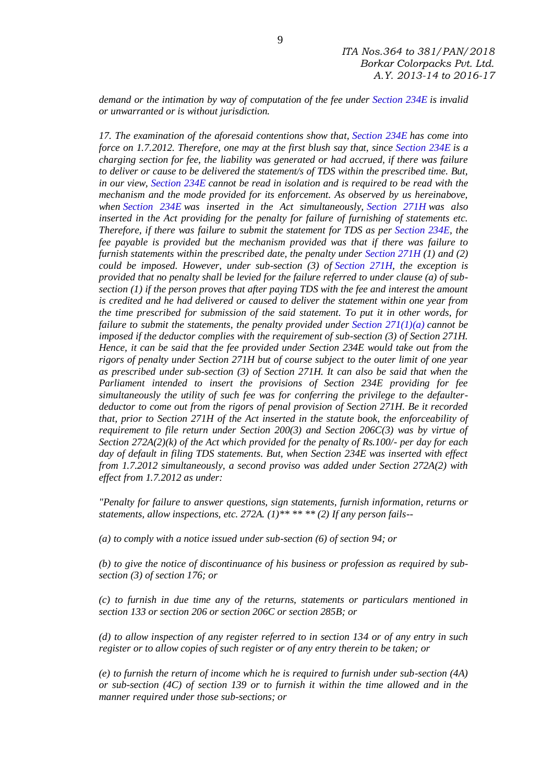*demand or the intimation by way of computation of the fee under [Section 234E](https://indiankanoon.org/doc/104566/) is invalid or unwarranted or is without jurisdiction.*

*17. The examination of the aforesaid contentions show that, [Section 234E](https://indiankanoon.org/doc/104566/) has come into force on 1.7.2012. Therefore, one may at the first blush say that, since [Section 234E](https://indiankanoon.org/doc/104566/) is a charging section for fee, the liability was generated or had accrued, if there was failure to deliver or cause to be delivered the statement/s of TDS within the prescribed time. But, in our view, [Section 234E](https://indiankanoon.org/doc/104566/) cannot be read in isolation and is required to be read with the mechanism and the mode provided for its enforcement. As observed by us hereinabove, when [Section 234E](https://indiankanoon.org/doc/104566/) was inserted in the Act simultaneously, [Section 271H](https://indiankanoon.org/doc/104566/) was also inserted in the Act providing for the penalty for failure of furnishing of statements etc. Therefore, if there was failure to submit the statement for TDS as per [Section 234E,](https://indiankanoon.org/doc/104566/) the fee payable is provided but the mechanism provided was that if there was failure to furnish statements within the prescribed date, the penalty under [Section 271H](https://indiankanoon.org/doc/104566/) (1) and (2) could be imposed. However, under sub-section (3) of [Section 271H,](https://indiankanoon.org/doc/104566/) the exception is provided that no penalty shall be levied for the failure referred to under clause (a) of subsection (1) if the person proves that after paying TDS with the fee and interest the amount is credited and he had delivered or caused to deliver the statement within one year from the time prescribed for submission of the said statement. To put it in other words, for failure to submit the statements, the penalty provided under [Section 271\(1\)\(a\)](https://indiankanoon.org/doc/104566/) cannot be imposed if the deductor complies with the requirement of sub-section (3) of Section 271H. Hence, it can be said that the fee provided under Section 234E would take out from the rigors of penalty under Section 271H but of course subject to the outer limit of one year as prescribed under sub-section (3) of Section 271H. It can also be said that when the Parliament intended to insert the provisions of Section 234E providing for fee simultaneously the utility of such fee was for conferring the privilege to the defaulterdeductor to come out from the rigors of penal provision of Section 271H. Be it recorded that, prior to Section 271H of the Act inserted in the statute book, the enforceability of requirement to file return under Section 200(3) and Section 206C(3) was by virtue of Section 272A(2)(k) of the Act which provided for the penalty of Rs.100/- per day for each day of default in filing TDS statements. But, when Section 234E was inserted with effect from 1.7.2012 simultaneously, a second proviso was added under Section 272A(2) with effect from 1.7.2012 as under:*

*"Penalty for failure to answer questions, sign statements, furnish information, returns or statements, allow inspections, etc. 272A. (1)\*\* \*\* \*\* (2) If any person fails--*

*(a) to comply with a notice issued under sub-section (6) of section 94; or*

*(b) to give the notice of discontinuance of his business or profession as required by subsection (3) of section 176; or*

*(c) to furnish in due time any of the returns, statements or particulars mentioned in section 133 or section 206 or section 206C or section 285B; or*

*(d) to allow inspection of any register referred to in section 134 or of any entry in such register or to allow copies of such register or of any entry therein to be taken; or*

*(e) to furnish the return of income which he is required to furnish under sub-section (4A) or sub-section (4C) of section 139 or to furnish it within the time allowed and in the manner required under those sub-sections; or*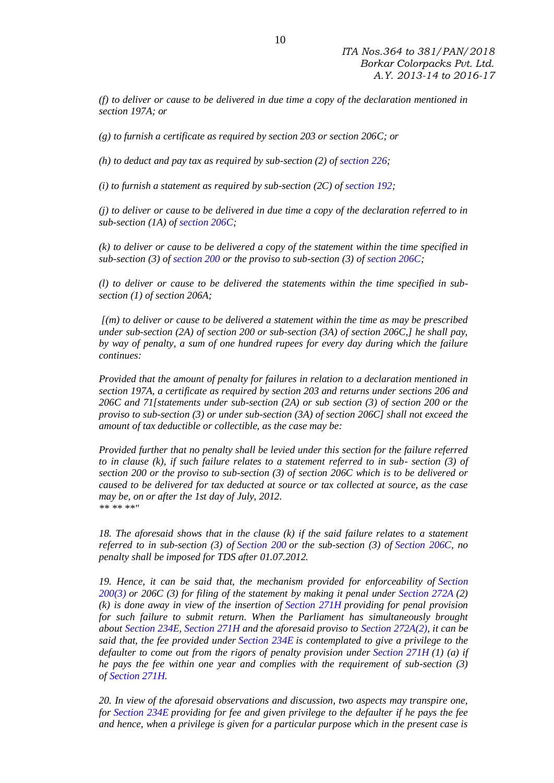*(f) to deliver or cause to be delivered in due time a copy of the declaration mentioned in section 197A; or*

*(g) to furnish a certificate as required by section 203 or section 206C; or*

*(h) to deduct and pay tax as required by sub-section (2) of [section 226;](https://indiankanoon.org/doc/104566/)*

*(i) to furnish a statement as required by sub-section (2C) of [section 192;](https://indiankanoon.org/doc/104566/)*

*(j) to deliver or cause to be delivered in due time a copy of the declaration referred to in sub-section (1A) of [section 206C;](https://indiankanoon.org/doc/104566/)*

*(k) to deliver or cause to be delivered a copy of the statement within the time specified in sub-section (3) of [section 200](https://indiankanoon.org/doc/104566/) or the proviso to sub-section (3) of [section 206C;](https://indiankanoon.org/doc/104566/)*

*(l) to deliver or cause to be delivered the statements within the time specified in subsection (1) of section 206A;*

*[(m) to deliver or cause to be delivered a statement within the time as may be prescribed under sub-section (2A) of section 200 or sub-section (3A) of section 206C,] he shall pay, by way of penalty, a sum of one hundred rupees for every day during which the failure continues:*

*Provided that the amount of penalty for failures in relation to a declaration mentioned in section 197A, a certificate as required by section 203 and returns under sections 206 and 206C and 71[statements under sub-section (2A) or sub section (3) of section 200 or the proviso to sub-section (3) or under sub-section (3A) of section 206C] shall not exceed the amount of tax deductible or collectible, as the case may be:*

*Provided further that no penalty shall be levied under this section for the failure referred to in clause (k), if such failure relates to a statement referred to in sub- section (3) of section 200 or the proviso to sub-section (3) of section 206C which is to be delivered or caused to be delivered for tax deducted at source or tax collected at source, as the case may be, on or after the 1st day of July, 2012. \*\* \*\* \*\*"*

*18. The aforesaid shows that in the clause (k) if the said failure relates to a statement referred to in sub-section (3) of [Section 200](https://indiankanoon.org/doc/104566/) or the sub-section (3) of [Section 206C,](https://indiankanoon.org/doc/104566/) no penalty shall be imposed for TDS after 01.07.2012.*

*19. Hence, it can be said that, the mechanism provided for enforceability of [Section](https://indiankanoon.org/doc/104566/)  [200\(3\)](https://indiankanoon.org/doc/104566/) or 206C (3) for filing of the statement by making it penal under [Section 272A](https://indiankanoon.org/doc/104566/) (2) (k) is done away in view of the insertion of [Section 271H](https://indiankanoon.org/doc/104566/) providing for penal provision for such failure to submit return. When the Parliament has simultaneously brought about [Section 234E,](https://indiankanoon.org/doc/104566/) [Section 271H](https://indiankanoon.org/doc/104566/) and the aforesaid proviso to [Section 272A\(2\),](https://indiankanoon.org/doc/104566/) it can be said that, the fee provided under [Section 234E](https://indiankanoon.org/doc/104566/) is contemplated to give a privilege to the defaulter to come out from the rigors of penalty provision under [Section 271H](https://indiankanoon.org/doc/104566/) (1) (a) if he pays the fee within one year and complies with the requirement of sub-section (3) of [Section 271H.](https://indiankanoon.org/doc/104566/)*

*20. In view of the aforesaid observations and discussion, two aspects may transpire one, for [Section 234E](https://indiankanoon.org/doc/104566/) providing for fee and given privilege to the defaulter if he pays the fee and hence, when a privilege is given for a particular purpose which in the present case is*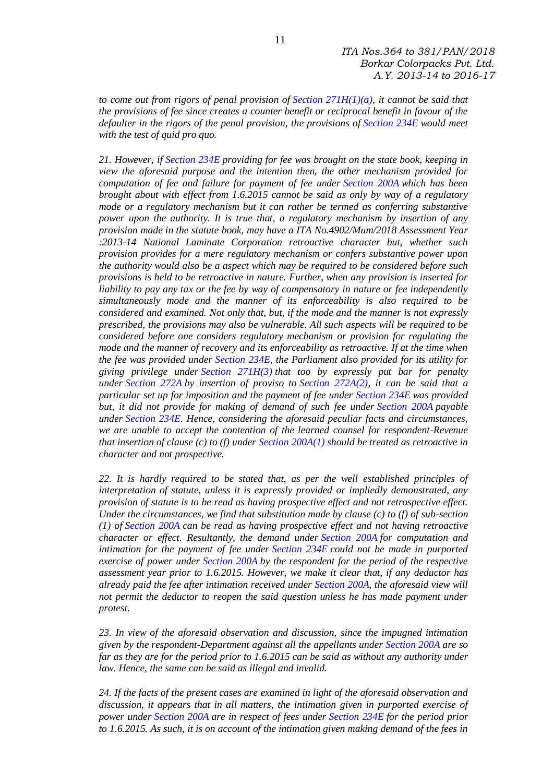*to come out from rigors of penal provision of [Section 271H\(1\)\(a\),](https://indiankanoon.org/doc/104566/) it cannot be said that the provisions of fee since creates a counter benefit or reciprocal benefit in favour of the defaulter in the rigors of the penal provision, the provisions of [Section 234E](https://indiankanoon.org/doc/104566/) would meet with the test of quid pro quo.*

*21. However, if [Section 234E](https://indiankanoon.org/doc/104566/) providing for fee was brought on the state book, keeping in view the aforesaid purpose and the intention then, the other mechanism provided for computation of fee and failure for payment of fee under [Section 200A](https://indiankanoon.org/doc/104566/) which has been brought about with effect from 1.6.2015 cannot be said as only by way of a regulatory mode or a regulatory mechanism but it can rather be termed as conferring substantive power upon the authority. It is true that, a regulatory mechanism by insertion of any provision made in the statute book, may have a ITA No.4902/Mum/2018 Assessment Year :2013-14 National Laminate Corporation retroactive character but, whether such provision provides for a mere regulatory mechanism or confers substantive power upon the authority would also be a aspect which may be required to be considered before such provisions is held to be retroactive in nature. Further, when any provision is inserted for liability to pay any tax or the fee by way of compensatory in nature or fee independently simultaneously mode and the manner of its enforceability is also required to be considered and examined. Not only that, but, if the mode and the manner is not expressly prescribed, the provisions may also be vulnerable. All such aspects will be required to be considered before one considers regulatory mechanism or provision for regulating the mode and the manner of recovery and its enforceability as retroactive. If at the time when the fee was provided under [Section 234E,](https://indiankanoon.org/doc/104566/) the Parliament also provided for its utility for giving privilege under [Section 271H\(3\)](https://indiankanoon.org/doc/104566/) that too by expressly put bar for penalty under [Section 272A](https://indiankanoon.org/doc/104566/) by insertion of proviso to [Section 272A\(2\),](https://indiankanoon.org/doc/104566/) it can be said that a particular set up for imposition and the payment of fee under [Section 234E](https://indiankanoon.org/doc/104566/) was provided but, it did not provide for making of demand of such fee under [Section 200A](https://indiankanoon.org/doc/104566/) payable under [Section 234E.](https://indiankanoon.org/doc/104566/) Hence, considering the aforesaid peculiar facts and circumstances, we are unable to accept the contention of the learned counsel for respondent-Revenue that insertion of clause (c) to (f) under [Section 200A\(1\)](https://indiankanoon.org/doc/104566/) should be treated as retroactive in character and not prospective.*

*22. It is hardly required to be stated that, as per the well established principles of interpretation of statute, unless it is expressly provided or impliedly demonstrated, any provision of statute is to be read as having prospective effect and not retrospective effect. Under the circumstances, we find that substitution made by clause (c) to (f) of sub-section (1) of [Section 200A](https://indiankanoon.org/doc/104566/) can be read as having prospective effect and not having retroactive character or effect. Resultantly, the demand under [Section 200A](https://indiankanoon.org/doc/104566/) for computation and intimation for the payment of fee under [Section 234E](https://indiankanoon.org/doc/104566/) could not be made in purported exercise of power under [Section 200A](https://indiankanoon.org/doc/104566/) by the respondent for the period of the respective assessment year prior to 1.6.2015. However, we make it clear that, if any deductor has already paid the fee after intimation received under [Section 200A,](https://indiankanoon.org/doc/104566/) the aforesaid view will not permit the deductor to reopen the said question unless he has made payment under protest.*

*23. In view of the aforesaid observation and discussion, since the impugned intimation given by the respondent-Department against all the appellants under [Section 200A](https://indiankanoon.org/doc/104566/) are so far as they are for the period prior to 1.6.2015 can be said as without any authority under law. Hence, the same can be said as illegal and invalid.*

*24. If the facts of the present cases are examined in light of the aforesaid observation and discussion, it appears that in all matters, the intimation given in purported exercise of power under [Section 200A](https://indiankanoon.org/doc/104566/) are in respect of fees under [Section 234E](https://indiankanoon.org/doc/104566/) for the period prior to 1.6.2015. As such, it is on account of the intimation given making demand of the fees in*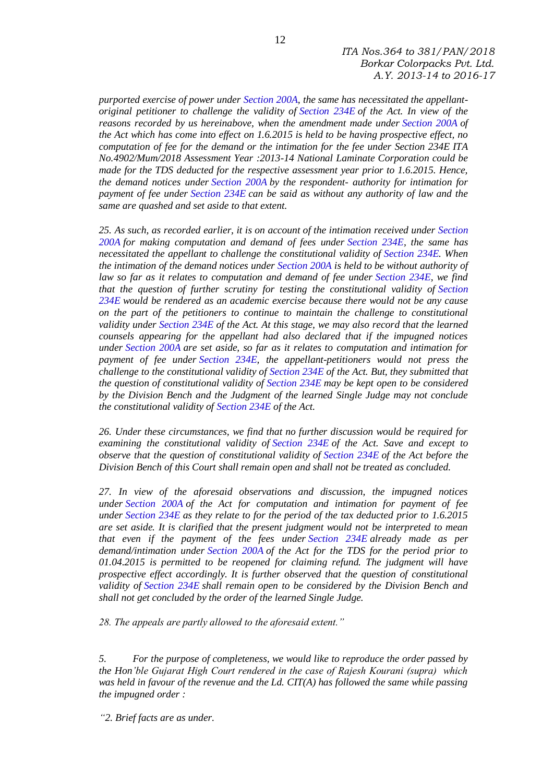*ITA Nos.364 to 381/PAN/2018 Borkar Colorpacks Pvt. Ltd. A.Y. 2013-14 to 2016-17*

*purported exercise of power under [Section 200A,](https://indiankanoon.org/doc/104566/) the same has necessitated the appellantoriginal petitioner to challenge the validity of [Section 234E](https://indiankanoon.org/doc/104566/) of the Act. In view of the reasons recorded by us hereinabove, when the amendment made under [Section 200A](https://indiankanoon.org/doc/104566/) of the Act which has come into effect on 1.6.2015 is held to be having prospective effect, no computation of fee for the demand or the intimation for the fee under Section 234E ITA No.4902/Mum/2018 Assessment Year :2013-14 National Laminate Corporation could be made for the TDS deducted for the respective assessment year prior to 1.6.2015. Hence, the demand notices under [Section 200A](https://indiankanoon.org/doc/104566/) by the respondent- authority for intimation for payment of fee under [Section 234E](https://indiankanoon.org/doc/104566/) can be said as without any authority of law and the same are quashed and set aside to that extent.*

*25. As such, as recorded earlier, it is on account of the intimation received under [Section](https://indiankanoon.org/doc/104566/)  [200A](https://indiankanoon.org/doc/104566/) for making computation and demand of fees under [Section 234E,](https://indiankanoon.org/doc/104566/) the same has necessitated the appellant to challenge the constitutional validity of [Section 234E.](https://indiankanoon.org/doc/104566/) When the intimation of the demand notices under [Section 200A](https://indiankanoon.org/doc/104566/) is held to be without authority of law so far as it relates to computation and demand of fee under [Section 234E,](https://indiankanoon.org/doc/104566/) we find that the question of further scrutiny for testing the constitutional validity of [Section](https://indiankanoon.org/doc/104566/)  [234E](https://indiankanoon.org/doc/104566/) would be rendered as an academic exercise because there would not be any cause on the part of the petitioners to continue to maintain the challenge to constitutional validity under [Section 234E](https://indiankanoon.org/doc/104566/) of the Act. At this stage, we may also record that the learned counsels appearing for the appellant had also declared that if the impugned notices under [Section 200A](https://indiankanoon.org/doc/104566/) are set aside, so far as it relates to computation and intimation for payment of fee under [Section 234E,](https://indiankanoon.org/doc/104566/) the appellant-petitioners would not press the challenge to the constitutional validity of [Section 234E](https://indiankanoon.org/doc/104566/) of the Act. But, they submitted that the question of constitutional validity of [Section 234E](https://indiankanoon.org/doc/104566/) may be kept open to be considered by the Division Bench and the Judgment of the learned Single Judge may not conclude the constitutional validity of [Section 234E](https://indiankanoon.org/doc/104566/) of the Act.*

*26. Under these circumstances, we find that no further discussion would be required for examining the constitutional validity of [Section 234E](https://indiankanoon.org/doc/104566/) of the Act. Save and except to observe that the question of constitutional validity of [Section 234E](https://indiankanoon.org/doc/104566/) of the Act before the Division Bench of this Court shall remain open and shall not be treated as concluded.*

*27. In view of the aforesaid observations and discussion, the impugned notices under [Section 200A](https://indiankanoon.org/doc/104566/) of the Act for computation and intimation for payment of fee under [Section 234E](https://indiankanoon.org/doc/104566/) as they relate to for the period of the tax deducted prior to 1.6.2015 are set aside. It is clarified that the present judgment would not be interpreted to mean that even if the payment of the fees under [Section 234E](https://indiankanoon.org/doc/104566/) already made as per demand/intimation under [Section 200A](https://indiankanoon.org/doc/104566/) of the Act for the TDS for the period prior to 01.04.2015 is permitted to be reopened for claiming refund. The judgment will have prospective effect accordingly. It is further observed that the question of constitutional validity of [Section 234E](https://indiankanoon.org/doc/104566/) shall remain open to be considered by the Division Bench and shall not get concluded by the order of the learned Single Judge.*

*28. The appeals are partly allowed to the aforesaid extent."*

*5. For the purpose of completeness, we would like to reproduce the order passed by the Hon'ble Gujarat High Court rendered in the case of Rajesh Kourani (supra) which was held in favour of the revenue and the Ld. CIT(A) has followed the same while passing the impugned order :*

*"2. Brief facts are as under.*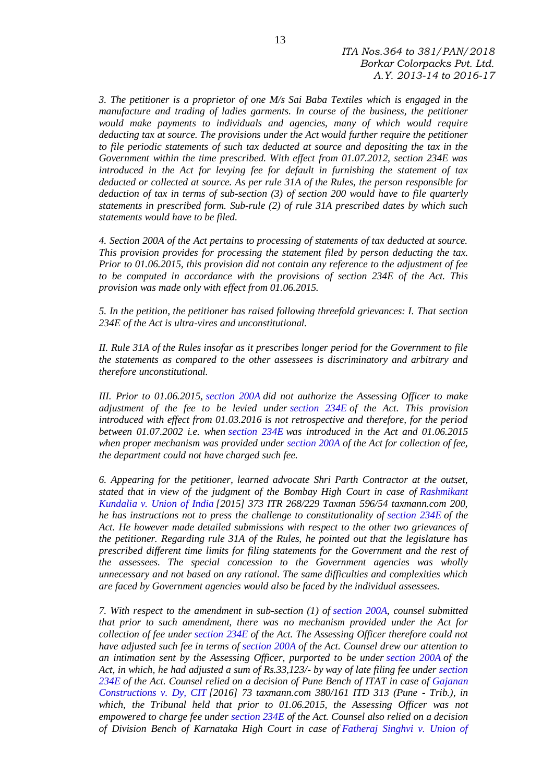*3. The petitioner is a proprietor of one M/s Sai Baba Textiles which is engaged in the manufacture and trading of ladies garments. In course of the business, the petitioner would make payments to individuals and agencies, many of which would require deducting tax at source. The provisions under the Act would further require the petitioner to file periodic statements of such tax deducted at source and depositing the tax in the Government within the time prescribed. With effect from 01.07.2012, section 234E was introduced in the Act for levying fee for default in furnishing the statement of tax deducted or collected at source. As per rule 31A of the Rules, the person responsible for deduction of tax in terms of sub-section (3) of section 200 would have to file quarterly statements in prescribed form. Sub-rule (2) of rule 31A prescribed dates by which such statements would have to be filed.*

*4. Section 200A of the Act pertains to processing of statements of tax deducted at source. This provision provides for processing the statement filed by person deducting the tax. Prior to 01.06.2015, this provision did not contain any reference to the adjustment of fee to be computed in accordance with the provisions of section 234E of the Act. This provision was made only with effect from 01.06.2015.*

*5. In the petition, the petitioner has raised following threefold grievances: I. That section 234E of the Act is ultra-vires and unconstitutional.*

*II. Rule 31A of the Rules insofar as it prescribes longer period for the Government to file the statements as compared to the other assessees is discriminatory and arbitrary and therefore unconstitutional.*

*III. Prior to 01.06.2015, [section 200A](https://indiankanoon.org/doc/104566/) did not authorize the Assessing Officer to make adjustment of the fee to be levied under [section 234E](https://indiankanoon.org/doc/104566/) of the Act. This provision introduced with effect from 01.03.2016 is not retrospective and therefore, for the period between 01.07.2002 i.e. when [section 234E](https://indiankanoon.org/doc/104566/) was introduced in the Act and 01.06.2015 when proper mechanism was provided under [section 200A](https://indiankanoon.org/doc/104566/) of the Act for collection of fee, the department could not have charged such fee.*

*6. Appearing for the petitioner, learned advocate Shri Parth Contractor at the outset, stated that in view of the judgment of the Bombay High Court in case of [Rashmikant](https://indiankanoon.org/doc/162429289/)  [Kundalia v. Union of](https://indiankanoon.org/doc/162429289/) India [2015] 373 ITR 268/229 Taxman 596/54 taxmann.com 200, he has instructions not to press the challenge to constitutionality of [section 234E](https://indiankanoon.org/doc/104566/) of the Act. He however made detailed submissions with respect to the other two grievances of the petitioner. Regarding rule 31A of the Rules, he pointed out that the legislature has prescribed different time limits for filing statements for the Government and the rest of the assessees. The special concession to the Government agencies was wholly unnecessary and not based on any rational. The same difficulties and complexities which are faced by Government agencies would also be faced by the individual assessees.*

*7. With respect to the amendment in sub-section (1) of [section 200A,](https://indiankanoon.org/doc/104566/) counsel submitted that prior to such amendment, there was no mechanism provided under the Act for collection of fee under [section 234E](https://indiankanoon.org/doc/104566/) of the Act. The Assessing Officer therefore could not have adjusted such fee in terms of [section 200A](https://indiankanoon.org/doc/104566/) of the Act. Counsel drew our attention to an intimation sent by the Assessing Officer, purported to be under [section 200A](https://indiankanoon.org/doc/104566/) of the Act, in which, he had adjusted a sum of Rs.33,123/- by way of late filing fee under [section](https://indiankanoon.org/doc/104566/)  [234E](https://indiankanoon.org/doc/104566/) of the Act. Counsel relied on a decision of Pune Bench of ITAT in case of [Gajanan](https://indiankanoon.org/doc/44755392/)  [Constructions v. Dy, CIT](https://indiankanoon.org/doc/44755392/) [2016] 73 taxmann.com 380/161 ITD 313 (Pune - Trib.), in which, the Tribunal held that prior to 01.06.2015, the Assessing Officer was not empowered to charge fee under [section 234E](https://indiankanoon.org/doc/104566/) of the Act. Counsel also relied on a decision of Division Bench of Karnataka High Court in case of [Fatheraj Singhvi v. Union of](https://indiankanoon.org/doc/895528/)*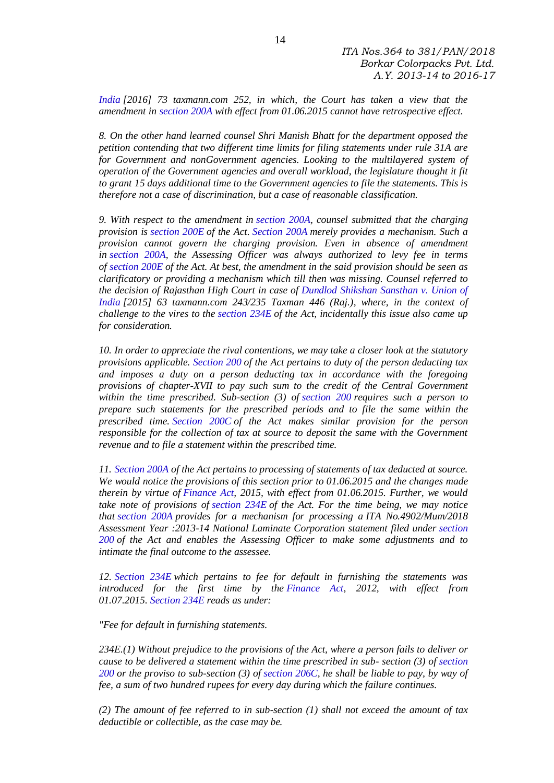*[India](https://indiankanoon.org/doc/895528/) [2016] 73 taxmann.com 252, in which, the Court has taken a view that the amendment in [section 200A](https://indiankanoon.org/doc/104566/) with effect from 01.06.2015 cannot have retrospective effect.*

*8. On the other hand learned counsel Shri Manish Bhatt for the department opposed the petition contending that two different time limits for filing statements under rule 31A are for Government and nonGovernment agencies. Looking to the multilayered system of operation of the Government agencies and overall workload, the legislature thought it fit to grant 15 days additional time to the Government agencies to file the statements. This is therefore not a case of discrimination, but a case of reasonable classification.*

*9. With respect to the amendment in [section 200A,](https://indiankanoon.org/doc/104566/) counsel submitted that the charging provision is [section 200E](https://indiankanoon.org/doc/104566/) of the Act. [Section 200A](https://indiankanoon.org/doc/104566/) merely provides a mechanism. Such a provision cannot govern the charging provision. Even in absence of amendment in [section 200A,](https://indiankanoon.org/doc/104566/) the Assessing Officer was always authorized to levy fee in terms of [section 200E](https://indiankanoon.org/doc/104566/) of the Act. At best, the amendment in the said provision should be seen as clarificatory or providing a mechanism which till then was missing. Counsel referred to the decision of Rajasthan High Court in case of [Dundlod Shikshan Sansthan v. Union of](https://indiankanoon.org/doc/140203443/)  [India](https://indiankanoon.org/doc/140203443/) [2015] 63 taxmann.com 243/235 Taxman 446 (Raj.), where, in the context of challenge to the vires to the [section 234E](https://indiankanoon.org/doc/104566/) of the Act, incidentally this issue also came up for consideration.*

*10. In order to appreciate the rival contentions, we may take a closer look at the statutory provisions applicable. [Section 200](https://indiankanoon.org/doc/104566/) of the Act pertains to duty of the person deducting tax and imposes a duty on a person deducting tax in accordance with the foregoing provisions of chapter-XVII to pay such sum to the credit of the Central Government within the time prescribed. Sub-section (3) of [section 200](https://indiankanoon.org/doc/104566/) requires such a person to prepare such statements for the prescribed periods and to file the same within the prescribed time. [Section 200C](https://indiankanoon.org/doc/104566/) of the Act makes similar provision for the person responsible for the collection of tax at source to deposit the same with the Government revenue and to file a statement within the prescribed time.*

*11. [Section 200A](https://indiankanoon.org/doc/104566/) of the Act pertains to processing of statements of tax deducted at source. We would notice the provisions of this section prior to 01.06.2015 and the changes made therein by virtue of [Finance Act,](https://indiankanoon.org/doc/104566/) 2015, with effect from 01.06.2015. Further, we would take note of provisions of [section 234E](https://indiankanoon.org/doc/104566/) of the Act. For the time being, we may notice that [section 200A](https://indiankanoon.org/doc/104566/) provides for a mechanism for processing a ITA No.4902/Mum/2018 Assessment Year :2013-14 National Laminate Corporation statement filed under [section](https://indiankanoon.org/doc/104566/)  [200](https://indiankanoon.org/doc/104566/) of the Act and enables the Assessing Officer to make some adjustments and to intimate the final outcome to the assessee.*

*12. [Section 234E](https://indiankanoon.org/doc/104566/) which pertains to fee for default in furnishing the statements was introduced for the first time by the [Finance Act,](https://indiankanoon.org/doc/104566/) 2012, with effect from 01.07.2015. [Section 234E](https://indiankanoon.org/doc/104566/) reads as under:*

*"Fee for default in furnishing statements.*

*234E.(1) Without prejudice to the provisions of the Act, where a person fails to deliver or cause to be delivered a statement within the time prescribed in sub- section (3) of [section](https://indiankanoon.org/doc/104566/)  [200](https://indiankanoon.org/doc/104566/) or the proviso to sub-section (3) of [section 206C,](https://indiankanoon.org/doc/104566/) he shall be liable to pay, by way of fee, a sum of two hundred rupees for every day during which the failure continues.*

*(2) The amount of fee referred to in sub-section (1) shall not exceed the amount of tax deductible or collectible, as the case may be.*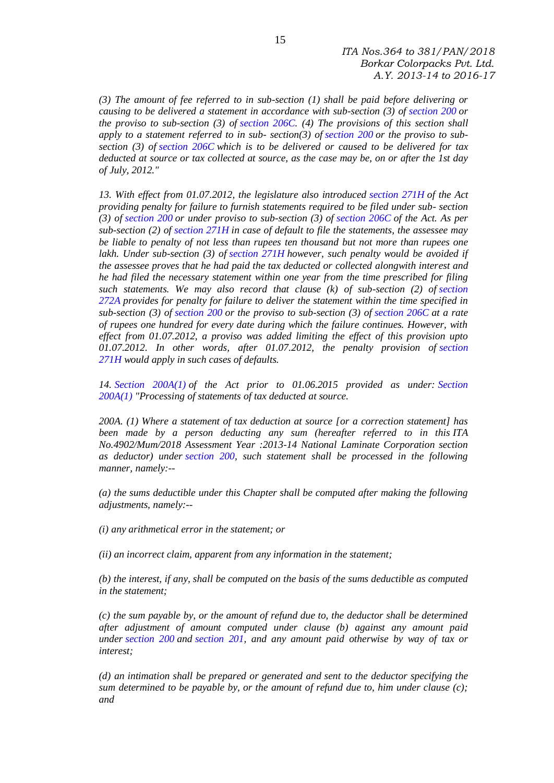*(3) The amount of fee referred to in sub-section (1) shall be paid before delivering or causing to be delivered a statement in accordance with sub-section (3) of [section 200](https://indiankanoon.org/doc/104566/) or the proviso to sub-section (3) of [section 206C.](https://indiankanoon.org/doc/104566/) (4) The provisions of this section shall apply to a statement referred to in sub- section(3) of [section 200](https://indiankanoon.org/doc/104566/) or the proviso to subsection (3) of [section 206C](https://indiankanoon.org/doc/104566/) which is to be delivered or caused to be delivered for tax deducted at source or tax collected at source, as the case may be, on or after the 1st day of July, 2012."*

*13. With effect from 01.07.2012, the legislature also introduced [section 271H](https://indiankanoon.org/doc/104566/) of the Act providing penalty for failure to furnish statements required to be filed under sub- section (3) of [section 200](https://indiankanoon.org/doc/104566/) or under proviso to sub-section (3) of [section 206C](https://indiankanoon.org/doc/104566/) of the Act. As per sub-section (2) of [section 271H](https://indiankanoon.org/doc/104566/) in case of default to file the statements, the assessee may be liable to penalty of not less than rupees ten thousand but not more than rupees one lakh. Under sub-section (3) of [section 271H](https://indiankanoon.org/doc/104566/) however, such penalty would be avoided if the assessee proves that he had paid the tax deducted or collected alongwith interest and he had filed the necessary statement within one year from the time prescribed for filing such statements. We may also record that clause (k) of sub-section (2) of [section](https://indiankanoon.org/doc/104566/)  [272A](https://indiankanoon.org/doc/104566/) provides for penalty for failure to deliver the statement within the time specified in sub-section (3) of [section 200](https://indiankanoon.org/doc/104566/) or the proviso to sub-section (3) of [section 206C](https://indiankanoon.org/doc/104566/) at a rate of rupees one hundred for every date during which the failure continues. However, with effect from 01.07.2012, a proviso was added limiting the effect of this provision upto 01.07.2012. In other words, after 01.07.2012, the penalty provision of [section](https://indiankanoon.org/doc/104566/)  [271H](https://indiankanoon.org/doc/104566/) would apply in such cases of defaults.*

*14. [Section 200A\(1\)](https://indiankanoon.org/doc/104566/) of the Act prior to 01.06.2015 provided as under: [Section](https://indiankanoon.org/doc/104566/)  [200A\(1\)](https://indiankanoon.org/doc/104566/) "Processing of statements of tax deducted at source.*

*200A. (1) Where a statement of tax deduction at source [or a correction statement] has been made by a person deducting any sum (hereafter referred to in this ITA No.4902/Mum/2018 Assessment Year :2013-14 National Laminate Corporation section as deductor) under [section 200,](https://indiankanoon.org/doc/104566/) such statement shall be processed in the following manner, namely:--*

*(a) the sums deductible under this Chapter shall be computed after making the following adjustments, namely:--*

*(i) any arithmetical error in the statement; or*

*(ii) an incorrect claim, apparent from any information in the statement;*

*(b) the interest, if any, shall be computed on the basis of the sums deductible as computed in the statement;*

*(c) the sum payable by, or the amount of refund due to, the deductor shall be determined after adjustment of amount computed under clause (b) against any amount paid under [section 200](https://indiankanoon.org/doc/104566/) and [section 201,](https://indiankanoon.org/doc/104566/) and any amount paid otherwise by way of tax or interest;*

*(d) an intimation shall be prepared or generated and sent to the deductor specifying the sum determined to be payable by, or the amount of refund due to, him under clause (c); and*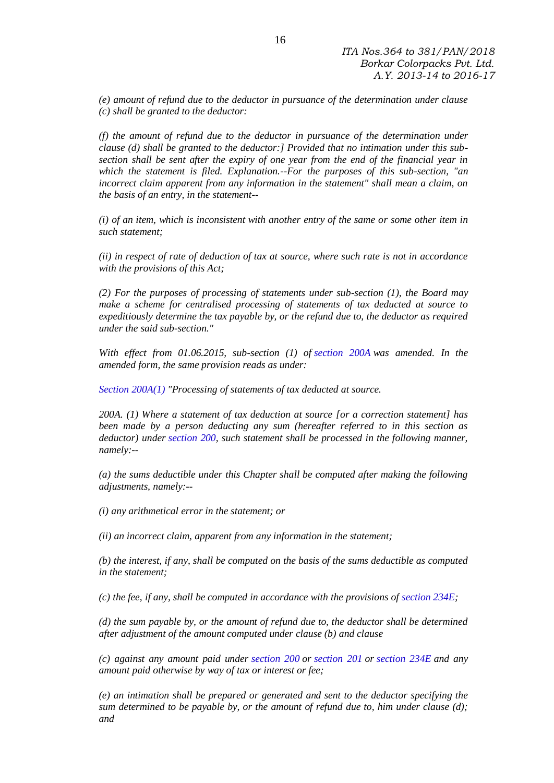*(e) amount of refund due to the deductor in pursuance of the determination under clause (c) shall be granted to the deductor:*

*(f) the amount of refund due to the deductor in pursuance of the determination under clause (d) shall be granted to the deductor:] Provided that no intimation under this subsection shall be sent after the expiry of one year from the end of the financial year in which the statement is filed. Explanation.--For the purposes of this sub-section, "an incorrect claim apparent from any information in the statement" shall mean a claim, on the basis of an entry, in the statement--*

*(i) of an item, which is inconsistent with another entry of the same or some other item in such statement;*

*(ii) in respect of rate of deduction of tax at source, where such rate is not in accordance with the provisions of this Act;*

*(2) For the purposes of processing of statements under sub-section (1), the Board may make a scheme for centralised processing of statements of tax deducted at source to expeditiously determine the tax payable by, or the refund due to, the deductor as required under the said sub-section."*

*With effect from 01.06.2015, sub-section (1) of [section 200A](https://indiankanoon.org/doc/104566/) was amended. In the amended form, the same provision reads as under:*

*[Section 200A\(1\)](https://indiankanoon.org/doc/104566/) "Processing of statements of tax deducted at source.*

*200A. (1) Where a statement of tax deduction at source [or a correction statement] has been made by a person deducting any sum (hereafter referred to in this section as deductor) under [section 200,](https://indiankanoon.org/doc/104566/) such statement shall be processed in the following manner, namely:--*

*(a) the sums deductible under this Chapter shall be computed after making the following adjustments, namely:--*

*(i) any arithmetical error in the statement; or*

*(ii) an incorrect claim, apparent from any information in the statement;*

*(b) the interest, if any, shall be computed on the basis of the sums deductible as computed in the statement;*

*(c) the fee, if any, shall be computed in accordance with the provisions of [section 234E;](https://indiankanoon.org/doc/104566/)*

*(d) the sum payable by, or the amount of refund due to, the deductor shall be determined after adjustment of the amount computed under clause (b) and clause*

*(c) against any amount paid under [section 200](https://indiankanoon.org/doc/104566/) or [section 201](https://indiankanoon.org/doc/104566/) or [section 234E](https://indiankanoon.org/doc/104566/) and any amount paid otherwise by way of tax or interest or fee;*

*(e) an intimation shall be prepared or generated and sent to the deductor specifying the sum determined to be payable by, or the amount of refund due to, him under clause (d); and*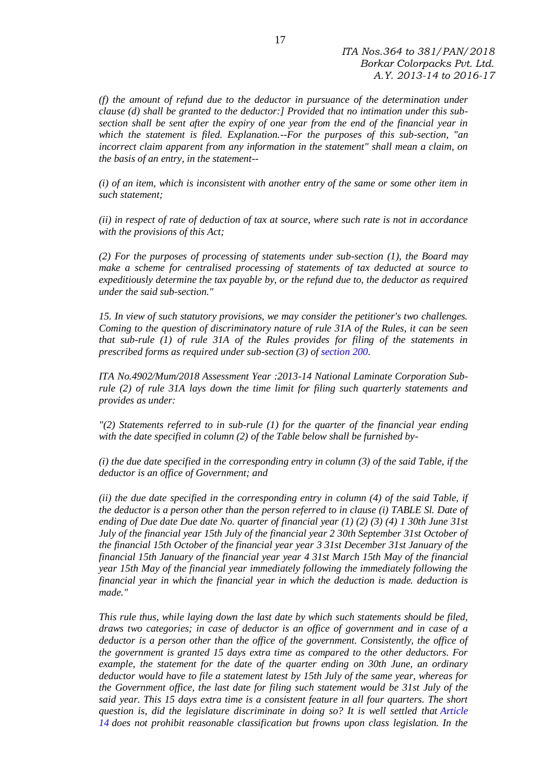*(f) the amount of refund due to the deductor in pursuance of the determination under clause (d) shall be granted to the deductor:] Provided that no intimation under this subsection shall be sent after the expiry of one year from the end of the financial year in which the statement is filed. Explanation.--For the purposes of this sub-section, "an incorrect claim apparent from any information in the statement" shall mean a claim, on the basis of an entry, in the statement--*

*(i) of an item, which is inconsistent with another entry of the same or some other item in such statement;*

*(ii) in respect of rate of deduction of tax at source, where such rate is not in accordance with the provisions of this Act;*

*(2) For the purposes of processing of statements under sub-section (1), the Board may make a scheme for centralised processing of statements of tax deducted at source to expeditiously determine the tax payable by, or the refund due to, the deductor as required under the said sub-section."*

*15. In view of such statutory provisions, we may consider the petitioner's two challenges. Coming to the question of discriminatory nature of rule 31A of the Rules, it can be seen that sub-rule (1) of rule 31A of the Rules provides for filing of the statements in prescribed forms as required under sub-section (3) of [section 200.](https://indiankanoon.org/doc/104566/)*

*ITA No.4902/Mum/2018 Assessment Year :2013-14 National Laminate Corporation Subrule (2) of rule 31A lays down the time limit for filing such quarterly statements and provides as under:*

*"(2) Statements referred to in sub-rule (1) for the quarter of the financial year ending with the date specified in column (2) of the Table below shall be furnished by-*

*(i) the due date specified in the corresponding entry in column (3) of the said Table, if the deductor is an office of Government; and*

*(ii) the due date specified in the corresponding entry in column (4) of the said Table, if the deductor is a person other than the person referred to in clause (i) TABLE Sl. Date of ending of Due date Due date No. quarter of financial year (1) (2) (3) (4) 1 30th June 31st July of the financial year 15th July of the financial year 2 30th September 31st October of the financial 15th October of the financial year year 3 31st December 31st January of the financial 15th January of the financial year year 4 31st March 15th May of the financial year 15th May of the financial year immediately following the immediately following the financial year in which the financial year in which the deduction is made. deduction is made."*

*This rule thus, while laying down the last date by which such statements should be filed, draws two categories; in case of deductor is an office of government and in case of a deductor is a person other than the office of the government. Consistently, the office of the government is granted 15 days extra time as compared to the other deductors. For example, the statement for the date of the quarter ending on 30th June, an ordinary deductor would have to file a statement latest by 15th July of the same year, whereas for the Government office, the last date for filing such statement would be 31st July of the said year. This 15 days extra time is a consistent feature in all four quarters. The short question is, did the legislature discriminate in doing so? It is well settled that [Article](https://indiankanoon.org/doc/367586/)  [14](https://indiankanoon.org/doc/367586/) does not prohibit reasonable classification but frowns upon class legislation. In the*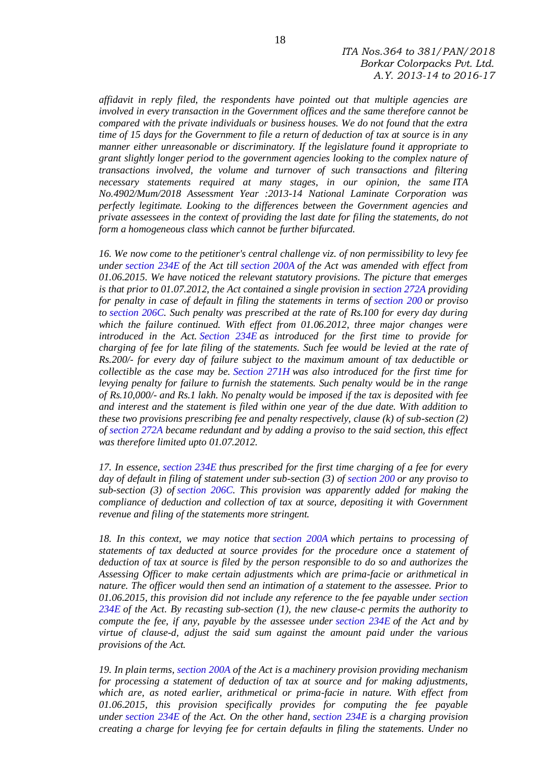*ITA Nos.364 to 381/PAN/2018 Borkar Colorpacks Pvt. Ltd. A.Y. 2013-14 to 2016-17*

*affidavit in reply filed, the respondents have pointed out that multiple agencies are involved in every transaction in the Government offices and the same therefore cannot be compared with the private individuals or business houses. We do not found that the extra time of 15 days for the Government to file a return of deduction of tax at source is in any manner either unreasonable or discriminatory. If the legislature found it appropriate to grant slightly longer period to the government agencies looking to the complex nature of transactions involved, the volume and turnover of such transactions and filtering necessary statements required at many stages, in our opinion, the same ITA No.4902/Mum/2018 Assessment Year :2013-14 National Laminate Corporation was perfectly legitimate. Looking to the differences between the Government agencies and private assessees in the context of providing the last date for filing the statements, do not form a homogeneous class which cannot be further bifurcated.*

*16. We now come to the petitioner's central challenge viz. of non permissibility to levy fee under [section 234E](https://indiankanoon.org/doc/104566/) of the Act till [section 200A](https://indiankanoon.org/doc/104566/) of the Act was amended with effect from 01.06.2015. We have noticed the relevant statutory provisions. The picture that emerges is that prior to 01.07.2012, the Act contained a single provision in [section 272A](https://indiankanoon.org/doc/104566/) providing for penalty in case of default in filing the statements in terms of [section 200](https://indiankanoon.org/doc/104566/) or proviso to [section 206C.](https://indiankanoon.org/doc/104566/) Such penalty was prescribed at the rate of Rs.100 for every day during which the failure continued. With effect from 01.06.2012, three major changes were introduced in the Act. [Section 234E](https://indiankanoon.org/doc/104566/) as introduced for the first time to provide for charging of fee for late filing of the statements. Such fee would be levied at the rate of Rs.200/- for every day of failure subject to the maximum amount of tax deductible or collectible as the case may be. [Section 271H](https://indiankanoon.org/doc/104566/) was also introduced for the first time for levying penalty for failure to furnish the statements. Such penalty would be in the range of Rs.10,000/- and Rs.1 lakh. No penalty would be imposed if the tax is deposited with fee and interest and the statement is filed within one year of the due date. With addition to these two provisions prescribing fee and penalty respectively, clause (k) of sub-section (2) of [section 272A](https://indiankanoon.org/doc/104566/) became redundant and by adding a proviso to the said section, this effect was therefore limited upto 01.07.2012.*

*17. In essence, [section 234E](https://indiankanoon.org/doc/104566/) thus prescribed for the first time charging of a fee for every day of default in filing of statement under sub-section (3) of [section 200](https://indiankanoon.org/doc/104566/) or any proviso to sub-section (3) of [section 206C.](https://indiankanoon.org/doc/104566/) This provision was apparently added for making the compliance of deduction and collection of tax at source, depositing it with Government revenue and filing of the statements more stringent.*

*18. In this context, we may notice that [section 200A](https://indiankanoon.org/doc/104566/) which pertains to processing of statements of tax deducted at source provides for the procedure once a statement of deduction of tax at source is filed by the person responsible to do so and authorizes the Assessing Officer to make certain adjustments which are prima-facie or arithmetical in nature. The officer would then send an intimation of a statement to the assessee. Prior to 01.06.2015, this provision did not include any reference to the fee payable under [section](https://indiankanoon.org/doc/104566/)  [234E](https://indiankanoon.org/doc/104566/) of the Act. By recasting sub-section (1), the new clause-c permits the authority to compute the fee, if any, payable by the assessee under [section 234E](https://indiankanoon.org/doc/104566/) of the Act and by virtue of clause-d, adjust the said sum against the amount paid under the various provisions of the Act.*

*19. In plain terms, [section 200A](https://indiankanoon.org/doc/104566/) of the Act is a machinery provision providing mechanism for processing a statement of deduction of tax at source and for making adjustments,* which are, as noted earlier, arithmetical or prima-facie in nature. With effect from *01.06.2015, this provision specifically provides for computing the fee payable under [section 234E](https://indiankanoon.org/doc/104566/) of the Act. On the other hand, [section 234E](https://indiankanoon.org/doc/104566/) is a charging provision creating a charge for levying fee for certain defaults in filing the statements. Under no*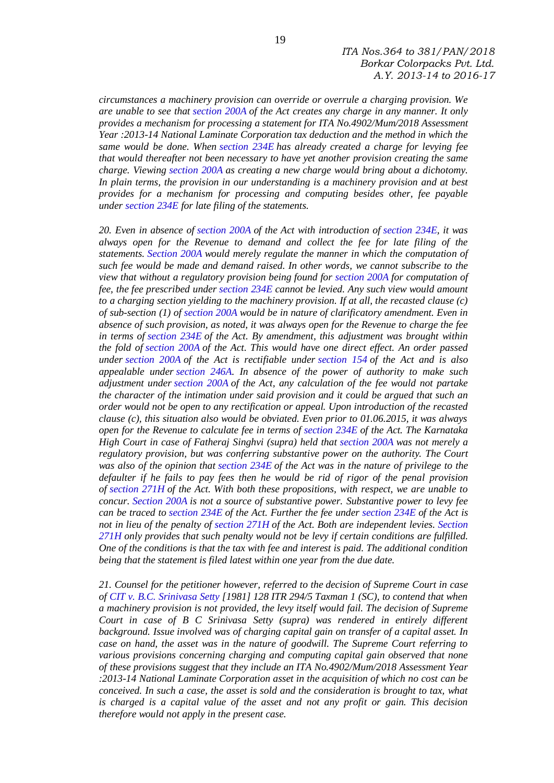*circumstances a machinery provision can override or overrule a charging provision. We are unable to see that [section 200A](https://indiankanoon.org/doc/104566/) of the Act creates any charge in any manner. It only provides a mechanism for processing a statement for ITA No.4902/Mum/2018 Assessment Year :2013-14 National Laminate Corporation tax deduction and the method in which the same would be done. When [section 234E](https://indiankanoon.org/doc/104566/) has already created a charge for levying fee that would thereafter not been necessary to have yet another provision creating the same charge. Viewing [section 200A](https://indiankanoon.org/doc/104566/) as creating a new charge would bring about a dichotomy. In plain terms, the provision in our understanding is a machinery provision and at best provides for a mechanism for processing and computing besides other, fee payable under [section 234E](https://indiankanoon.org/doc/104566/) for late filing of the statements.*

*20. Even in absence of [section 200A](https://indiankanoon.org/doc/104566/) of the Act with introduction of [section 234E,](https://indiankanoon.org/doc/104566/) it was always open for the Revenue to demand and collect the fee for late filing of the statements. [Section 200A](https://indiankanoon.org/doc/104566/) would merely regulate the manner in which the computation of such fee would be made and demand raised. In other words, we cannot subscribe to the view that without a regulatory provision being found for [section 200A](https://indiankanoon.org/doc/104566/) for computation of fee, the fee prescribed under [section 234E](https://indiankanoon.org/doc/104566/) cannot be levied. Any such view would amount to a charging section yielding to the machinery provision. If at all, the recasted clause (c) of sub-section (1) of [section 200A](https://indiankanoon.org/doc/104566/) would be in nature of clarificatory amendment. Even in absence of such provision, as noted, it was always open for the Revenue to charge the fee in terms of [section 234E](https://indiankanoon.org/doc/104566/) of the Act. By amendment, this adjustment was brought within the fold of [section 200A](https://indiankanoon.org/doc/104566/) of the Act. This would have one direct effect. An order passed under [section 200A](https://indiankanoon.org/doc/104566/) of the Act is rectifiable under [section 154](https://indiankanoon.org/doc/104566/) of the Act and is also appealable under [section 246A.](https://indiankanoon.org/doc/104566/) In absence of the power of authority to make such adjustment under [section 200A](https://indiankanoon.org/doc/104566/) of the Act, any calculation of the fee would not partake the character of the intimation under said provision and it could be argued that such an order would not be open to any rectification or appeal. Upon introduction of the recasted clause (c), this situation also would be obviated. Even prior to 01.06.2015, it was always open for the Revenue to calculate fee in terms of [section 234E](https://indiankanoon.org/doc/104566/) of the Act. The Karnataka High Court in case of Fatheraj Singhvi (supra) held that [section 200A](https://indiankanoon.org/doc/104566/) was not merely a regulatory provision, but was conferring substantive power on the authority. The Court was also of the opinion that [section 234E](https://indiankanoon.org/doc/104566/) of the Act was in the nature of privilege to the defaulter if he fails to pay fees then he would be rid of rigor of the penal provision of [section 271H](https://indiankanoon.org/doc/104566/) of the Act. With both these propositions, with respect, we are unable to concur. [Section 200A](https://indiankanoon.org/doc/104566/) is not a source of substantive power. Substantive power to levy fee can be traced to [section 234E](https://indiankanoon.org/doc/104566/) of the Act. Further the fee under [section 234E](https://indiankanoon.org/doc/104566/) of the Act is not in lieu of the penalty of [section 271H](https://indiankanoon.org/doc/104566/) of the Act. Both are independent levies. [Section](https://indiankanoon.org/doc/104566/)  [271H](https://indiankanoon.org/doc/104566/) only provides that such penalty would not be levy if certain conditions are fulfilled. One of the conditions is that the tax with fee and interest is paid. The additional condition being that the statement is filed latest within one year from the due date.*

*21. Counsel for the petitioner however, referred to the decision of Supreme Court in case of [CIT v. B.C. Srinivasa Setty](https://indiankanoon.org/doc/1411881/) [1981] 128 ITR 294/5 Taxman 1 (SC), to contend that when a machinery provision is not provided, the levy itself would fail. The decision of Supreme Court in case of B C Srinivasa Setty (supra) was rendered in entirely different background. Issue involved was of charging capital gain on transfer of a capital asset. In case on hand, the asset was in the nature of goodwill. The Supreme Court referring to various provisions concerning charging and computing capital gain observed that none of these provisions suggest that they include an ITA No.4902/Mum/2018 Assessment Year :2013-14 National Laminate Corporation asset in the acquisition of which no cost can be conceived. In such a case, the asset is sold and the consideration is brought to tax, what is charged is a capital value of the asset and not any profit or gain. This decision therefore would not apply in the present case.*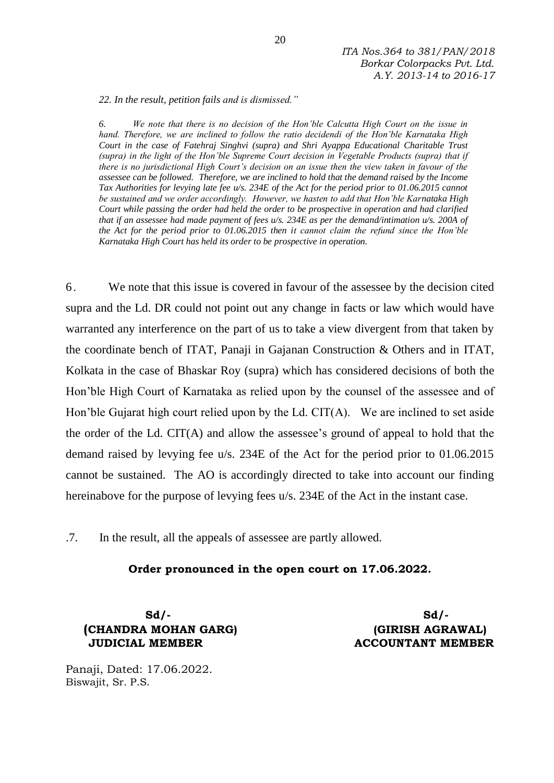*22. In the result, petition fails and is dismissed."*

*6. We note that there is no decision of the Hon'ble Calcutta High Court on the issue in hand. Therefore, we are inclined to follow the ratio decidendi of the Hon'ble Karnataka High Court in the case of Fatehraj Singhvi (supra) and Shri Ayappa Educational Charitable Trust (supra) in the light of the Hon'ble Supreme Court decision in Vegetable Products (supra) that if there is no jurisdictional High Court's decision on an issue then the view taken in favour of the assessee can be followed. Therefore, we are inclined to hold that the demand raised by the Income Tax Authorities for levying late fee u/s. 234E of the Act for the period prior to 01.06.2015 cannot be sustained and we order accordingly. However, we hasten to add that Hon'ble Karnataka High Court while passing the order had held the order to be prospective in operation and had clarified that if an assessee had made payment of fees u/s. 234E as per the demand/intimation u/s. 200A of the Act for the period prior to 01.06.2015 then it cannot claim the refund since the Hon'ble Karnataka High Court has held its order to be prospective in operation.*

6. We note that this issue is covered in favour of the assessee by the decision cited supra and the Ld. DR could not point out any change in facts or law which would have warranted any interference on the part of us to take a view divergent from that taken by the coordinate bench of ITAT, Panaji in Gajanan Construction & Others and in ITAT, Kolkata in the case of Bhaskar Roy (supra) which has considered decisions of both the Hon'ble High Court of Karnataka as relied upon by the counsel of the assessee and of Hon'ble Gujarat high court relied upon by the Ld. CIT(A). We are inclined to set aside the order of the Ld. CIT(A) and allow the assessee's ground of appeal to hold that the demand raised by levying fee u/s. 234E of the Act for the period prior to 01.06.2015 cannot be sustained. The AO is accordingly directed to take into account our finding hereinabove for the purpose of levying fees u/s. 234E of the Act in the instant case.

.7. In the result, all the appeals of assessee are partly allowed.

#### **Order pronounced in the open court on 17.06.2022.**

 **Sd/- Sd/- (CHANDRA MOHAN GARG) (GIRISH AGRAWAL) JUDICIAL MEMBER ACCOUNTANT MEMBER**

Panaji, Dated: 17.06.2022. Biswajit, Sr. P.S.